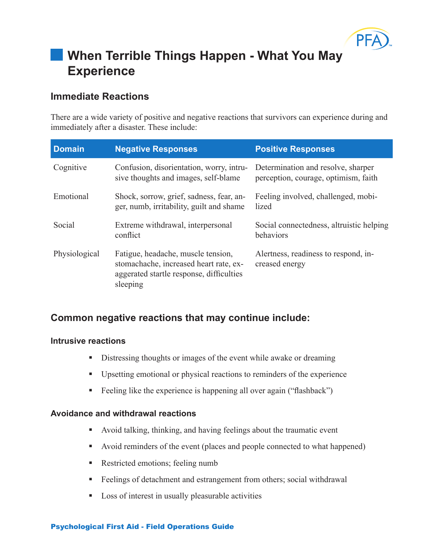

# **When Terrible Things Happen - What You May Experience**

# **Immediate Reactions**

There are a wide variety of positive and negative reactions that survivors can experience during and immediately after a disaster. These include:

| <b>Domain</b> | <b>Negative Responses</b>                                                                                                            | <b>Positive Responses</b>                                                  |
|---------------|--------------------------------------------------------------------------------------------------------------------------------------|----------------------------------------------------------------------------|
| Cognitive     | Confusion, disorientation, worry, intru-<br>sive thoughts and images, self-blame                                                     | Determination and resolve, sharper<br>perception, courage, optimism, faith |
| Emotional     | Shock, sorrow, grief, sadness, fear, an-<br>ger, numb, irritability, guilt and shame                                                 | Feeling involved, challenged, mobi-<br>lized                               |
| Social        | Extreme withdrawal, interpersonal<br>conflict                                                                                        | Social connectedness, altruistic helping<br>behaviors                      |
| Physiological | Fatigue, headache, muscle tension,<br>stomachache, increased heart rate, ex-<br>aggerated startle response, difficulties<br>sleeping | Alertness, readiness to respond, in-<br>creased energy                     |

# **Common negative reactions that may continue include:**

### **Intrusive reactions**

- Distressing thoughts or images of the event while awake or dreaming
- Upsetting emotional or physical reactions to reminders of the experience
- Feeling like the experience is happening all over again ("flashback")

# **Avoidance and withdrawal reactions**

- Avoid talking, thinking, and having feelings about the traumatic event
- Avoid reminders of the event (places and people connected to what happened)
- Restricted emotions; feeling numb
- Feelings of detachment and estrangement from others; social withdrawal
- **Loss of interest in usually pleasurable activities**

#### Psychological First Aid - Field Operations Guide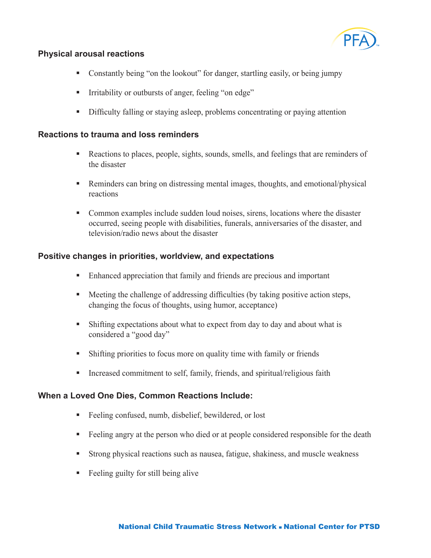

# **Physical arousal reactions**

- Constantly being "on the lookout" for danger, startling easily, or being jumpy
- **I**rritability or outbursts of anger, feeling "on edge"
- Difficulty falling or staying asleep, problems concentrating or paying attention

#### **Reactions to trauma and loss reminders**

- Reactions to places, people, sights, sounds, smells, and feelings that are reminders of the disaster
- Reminders can bring on distressing mental images, thoughts, and emotional/physical reactions
- **Common examples include sudden loud noises, sirens, locations where the disaster** occurred, seeing people with disabilities, funerals, anniversaries of the disaster, and television/radio news about the disaster

## **Positive changes in priorities, worldview, and expectations**

- Enhanced appreciation that family and friends are precious and important
- **Meeting the challenge of addressing difficulties (by taking positive action steps,** changing the focus of thoughts, using humor, acceptance)
- Shifting expectations about what to expect from day to day and about what is considered a "good day"
- Shifting priorities to focus more on quality time with family or friends
- **Increased commitment to self, family, friends, and spiritual/religious faith**

### **When a Loved One Dies, Common Reactions Include:**

- Feeling confused, numb, disbelief, bewildered, or lost
- Feeling angry at the person who died or at people considered responsible for the death
- Strong physical reactions such as nausea, fatigue, shakiness, and muscle weakness
- **Feeling guilty for still being alive**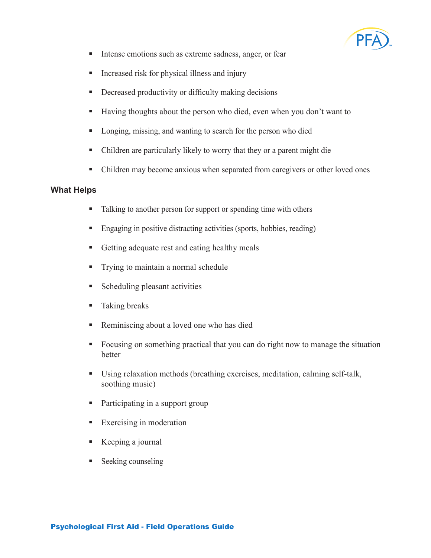

- Intense emotions such as extreme sadness, anger, or fear  $\blacksquare$
- Increased risk for physical illness and injury g,
- Decreased productivity or difficulty making decisions  $\blacksquare$
- Having thoughts about the person who died, even when you don't want to  $\mathbf{R}^{(1)}$
- Longing, missing, and wanting to search for the person who died g,
- Children are particularly likely to worry that they or a parent might die  $\blacksquare$
- Children may become anxious when separated from caregivers or other loved ones  $\blacksquare$

#### **What Helps**

- Talking to another person for support or spending time with others  $\blacksquare$
- Engaging in positive distracting activities (sports, hobbies, reading)  $\blacksquare$
- Getting adequate rest and eating healthy meals ı
- Trying to maintain a normal schedule  $\blacksquare$
- Scheduling pleasant activities  $\blacksquare$
- Taking breaks  $\mathbf{r}$
- Reminiscing about a loved one who has died a.
- Focusing on something practical that you can do right now to manage the situation better a.
- Using relaxation methods (breathing exercises, meditation, calming self-talk, soothing music)  $\mathbf{u}$  .
- Participating in a support group  $\blacksquare$
- Exercising in moderation a.
- Keeping a journal a.
- Seeking counseling ı